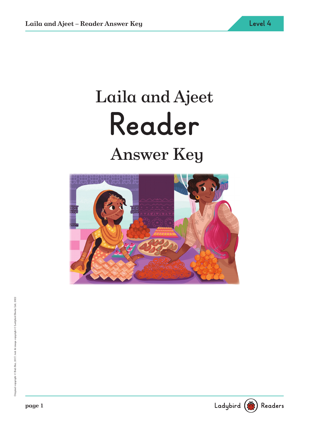# Laila and Ajeet **Reader** Answer Key



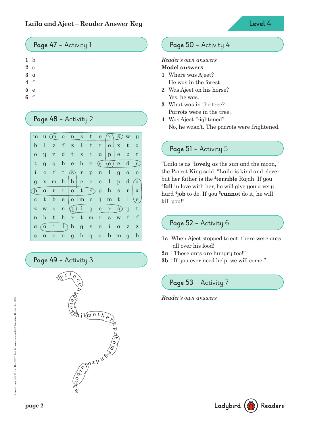#### **Page 47** – Activity 1

```
1 b
```
- **2** c
- **3** a
- **4** f
- **5** e
- **6** f

# **Page 48** – Activity 2



**Page 49** – Activity 3



# **Page 50** – Activity 4

#### Reader's own answers

#### **Model answers**

- **1** Where was Ajeet? He was in the forest.
- **2** Was Ajeet on his horse? Yes, he was.
- **3** What was in the tree? Parrots were in the tree.
- **4** Was Ajeet frightened? No, he wasn't. The parrots were frightened.

# **Page 51** – Activity 5

"Laila is as **<sup>1</sup> lovely** as the sun and the moon," the Parrot King said. "Laila is kind and clever, but her father is the **<sup>2</sup> terrible** Rajah. If you **3 fall** in love with her, he will give you a very hard **<sup>4</sup> job** to do. If you **<sup>5</sup>cannot** do it, he will kill you!''

### **Page 52** – Activity 6

- **1c** When Ajeet stopped to eat, there were ants all over his food!
- **2a** "These ants are hungry too!"
- **3b** "If you ever need help, we will come."

# **Page 53** – Activity 7

Reader's own answers